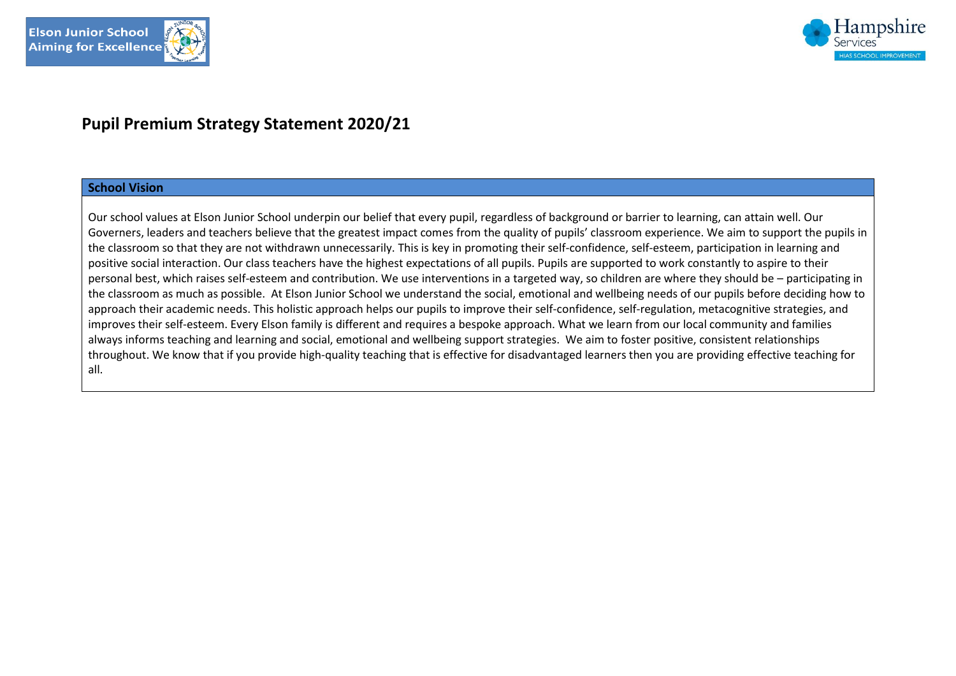



# **Pupil Premium Strategy Statement 2020/21**

#### **School Vision**

Our school values at Elson Junior School underpin our belief that every pupil, regardless of background or barrier to learning, can attain well. Our Governers, leaders and teachers believe that the greatest impact comes from the quality of pupils' classroom experience. We aim to support the pupils in the classroom so that they are not withdrawn unnecessarily. This is key in promoting their self-confidence, self-esteem, participation in learning and positive social interaction. Our class teachers have the highest expectations of all pupils. Pupils are supported to work constantly to aspire to their personal best, which raises self-esteem and contribution. We use interventions in a targeted way, so children are where they should be – participating in the classroom as much as possible. At Elson Junior School we understand the social, emotional and wellbeing needs of our pupils before deciding how to approach their academic needs. This holistic approach helps our pupils to improve their self-confidence, self-regulation, metacognitive strategies, and improves their self-esteem. Every Elson family is different and requires a bespoke approach. What we learn from our local community and families always informs teaching and learning and social, emotional and wellbeing support strategies. We aim to foster positive, consistent relationships throughout. We know that if you provide high-quality teaching that is effective for disadvantaged learners then you are providing effective teaching for all.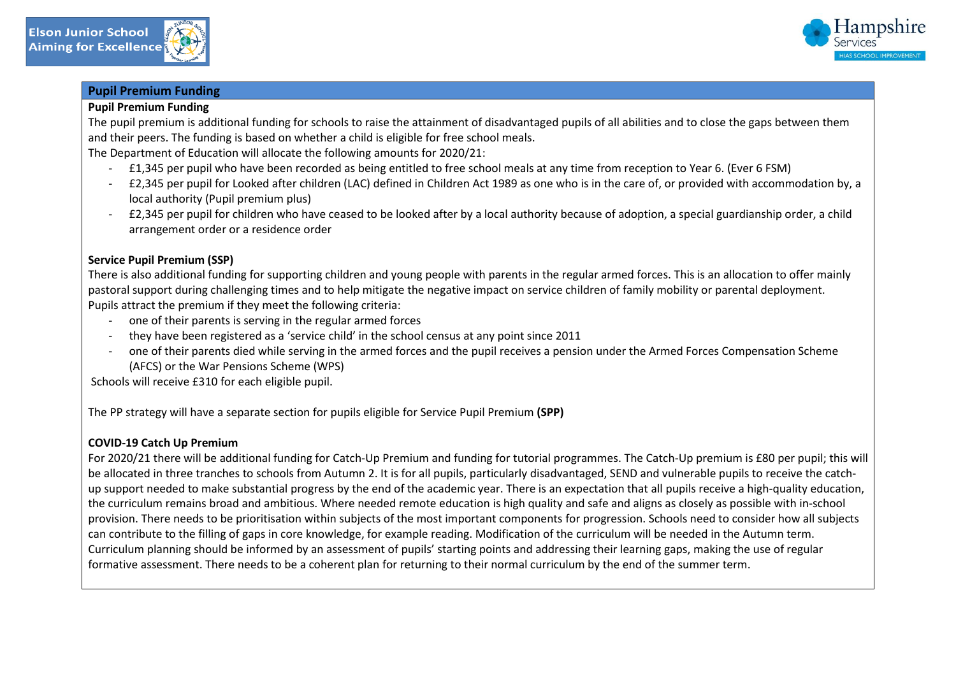

## **Pupil Premium Funding**

#### **Pupil Premium Funding**

The pupil premium is additional funding for schools to raise the attainment of disadvantaged pupils of all abilities and to close the gaps between them and their peers. The funding is based on whether a child is eligible for free school meals.

The Department of Education will allocate the following amounts for 2020/21:

- £1,345 per pupil who have been recorded as being entitled to free school meals at any time from reception to Year 6. (Ever 6 FSM)
- £2,345 per pupil for Looked after children (LAC) defined in Children Act 1989 as one who is in the care of, or provided with accommodation by, a local authority (Pupil premium plus)
- £2,345 per pupil for children who have ceased to be looked after by a local authority because of adoption, a special guardianship order, a child arrangement order or a residence order

## **Service Pupil Premium (SSP)**

There is also additional funding for supporting children and young people with parents in the regular armed forces. This is an allocation to offer mainly pastoral support during challenging times and to help mitigate the negative impact on service children of family mobility or parental deployment. Pupils attract the premium if they meet the following criteria:

- one of their parents is serving in the regular armed forces
- they have been registered as a 'service child' in the school census at any point since 2011
- one of their parents died while serving in the armed forces and the pupil receives a pension under the Armed Forces Compensation Scheme (AFCS) or the War Pensions Scheme (WPS)

Schools will receive £310 for each eligible pupil.

The PP strategy will have a separate section for pupils eligible for Service Pupil Premium **(SPP)**

#### **COVID-19 Catch Up Premium**

For 2020/21 there will be additional funding for Catch-Up Premium and funding for tutorial programmes. The Catch-Up premium is £80 per pupil; this will be allocated in three tranches to schools from Autumn 2. It is for all pupils, particularly disadvantaged, SEND and vulnerable pupils to receive the catchup support needed to make substantial progress by the end of the academic year. There is an expectation that all pupils receive a high-quality education, the curriculum remains broad and ambitious. Where needed remote education is high quality and safe and aligns as closely as possible with in-school provision. There needs to be prioritisation within subjects of the most important components for progression. Schools need to consider how all subjects can contribute to the filling of gaps in core knowledge, for example reading. Modification of the curriculum will be needed in the Autumn term. Curriculum planning should be informed by an assessment of pupils' starting points and addressing their learning gaps, making the use of regular formative assessment. There needs to be a coherent plan for returning to their normal curriculum by the end of the summer term.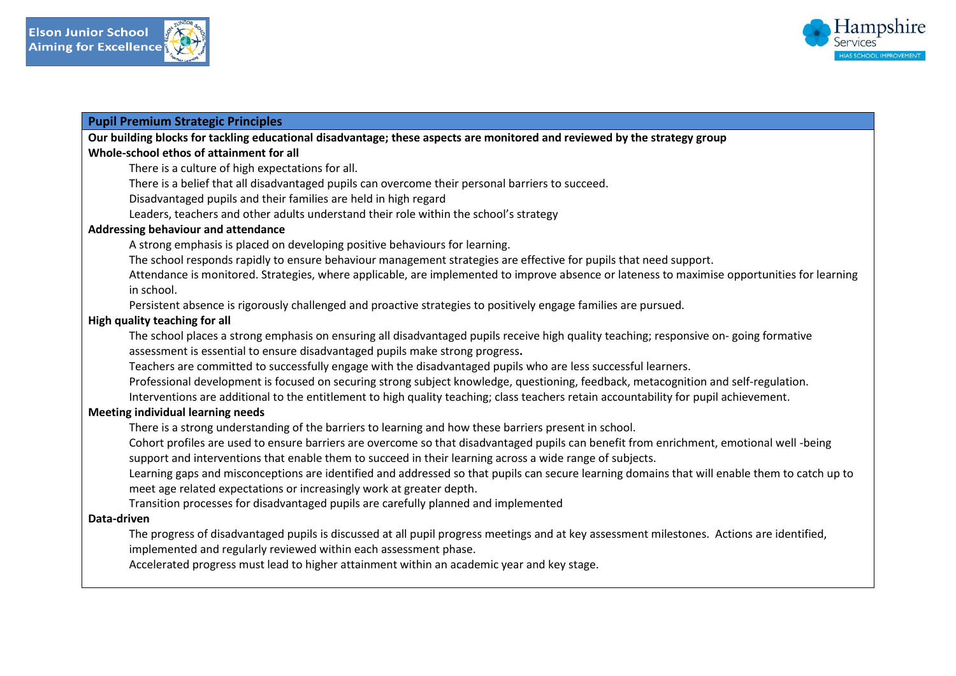



#### **Pupil Premium Strategic Principles**

**Our building blocks for tackling educational disadvantage; these aspects are monitored and reviewed by the strategy group** 

## **Whole-school ethos of attainment for all**

There is a culture of high expectations for all.

There is a belief that all disadvantaged pupils can overcome their personal barriers to succeed.

Disadvantaged pupils and their families are held in high regard

Leaders, teachers and other adults understand their role within the school's strategy

#### **Addressing behaviour and attendance**

A strong emphasis is placed on developing positive behaviours for learning.

The school responds rapidly to ensure behaviour management strategies are effective for pupils that need support.

Attendance is monitored. Strategies, where applicable, are implemented to improve absence or lateness to maximise opportunities for learning in school.

Persistent absence is rigorously challenged and proactive strategies to positively engage families are pursued.

#### **High quality teaching for all**

The school places a strong emphasis on ensuring all disadvantaged pupils receive high quality teaching; responsive on- going formative assessment is essential to ensure disadvantaged pupils make strong progress**.** 

Teachers are committed to successfully engage with the disadvantaged pupils who are less successful learners.

Professional development is focused on securing strong subject knowledge, questioning, feedback, metacognition and self-regulation.

Interventions are additional to the entitlement to high quality teaching; class teachers retain accountability for pupil achievement.

#### **Meeting individual learning needs**

There is a strong understanding of the barriers to learning and how these barriers present in school.

Cohort profiles are used to ensure barriers are overcome so that disadvantaged pupils can benefit from enrichment, emotional well -being support and interventions that enable them to succeed in their learning across a wide range of subjects.

Learning gaps and misconceptions are identified and addressed so that pupils can secure learning domains that will enable them to catch up to meet age related expectations or increasingly work at greater depth.

Transition processes for disadvantaged pupils are carefully planned and implemented

#### **Data-driven**

The progress of disadvantaged pupils is discussed at all pupil progress meetings and at key assessment milestones. Actions are identified, implemented and regularly reviewed within each assessment phase.

Accelerated progress must lead to higher attainment within an academic year and key stage.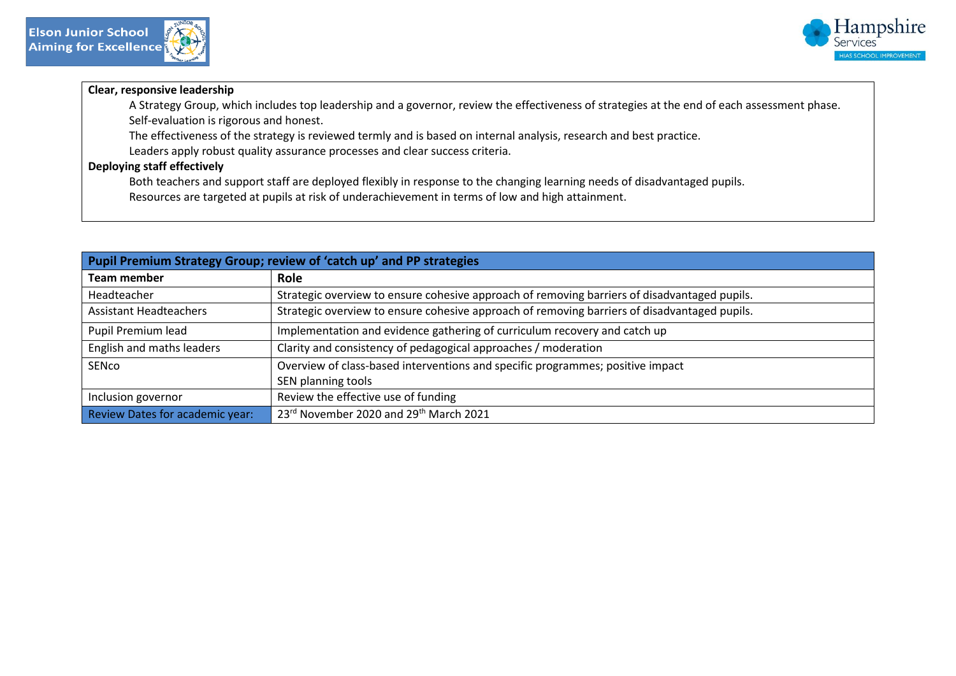

# **Clear, responsive leadership**

A Strategy Group, which includes top leadership and a governor, review the effectiveness of strategies at the end of each assessment phase. Self-evaluation is rigorous and honest.

The effectiveness of the strategy is reviewed termly and is based on internal analysis, research and best practice.

Leaders apply robust quality assurance processes and clear success criteria.

## **Deploying staff effectively**

Both teachers and support staff are deployed flexibly in response to the changing learning needs of disadvantaged pupils.

Resources are targeted at pupils at risk of underachievement in terms of low and high attainment.

| Pupil Premium Strategy Group; review of 'catch up' and PP strategies |                                                                                              |  |  |  |
|----------------------------------------------------------------------|----------------------------------------------------------------------------------------------|--|--|--|
| <b>Team member</b>                                                   | <b>Role</b>                                                                                  |  |  |  |
| Headteacher                                                          | Strategic overview to ensure cohesive approach of removing barriers of disadvantaged pupils. |  |  |  |
| <b>Assistant Headteachers</b>                                        | Strategic overview to ensure cohesive approach of removing barriers of disadvantaged pupils. |  |  |  |
| Pupil Premium lead                                                   | Implementation and evidence gathering of curriculum recovery and catch up                    |  |  |  |
| English and maths leaders                                            | Clarity and consistency of pedagogical approaches / moderation                               |  |  |  |
| SENco                                                                | Overview of class-based interventions and specific programmes; positive impact               |  |  |  |
|                                                                      | SEN planning tools                                                                           |  |  |  |
| Inclusion governor                                                   | Review the effective use of funding                                                          |  |  |  |
| Review Dates for academic year:                                      | 23rd November 2020 and 29th March 2021                                                       |  |  |  |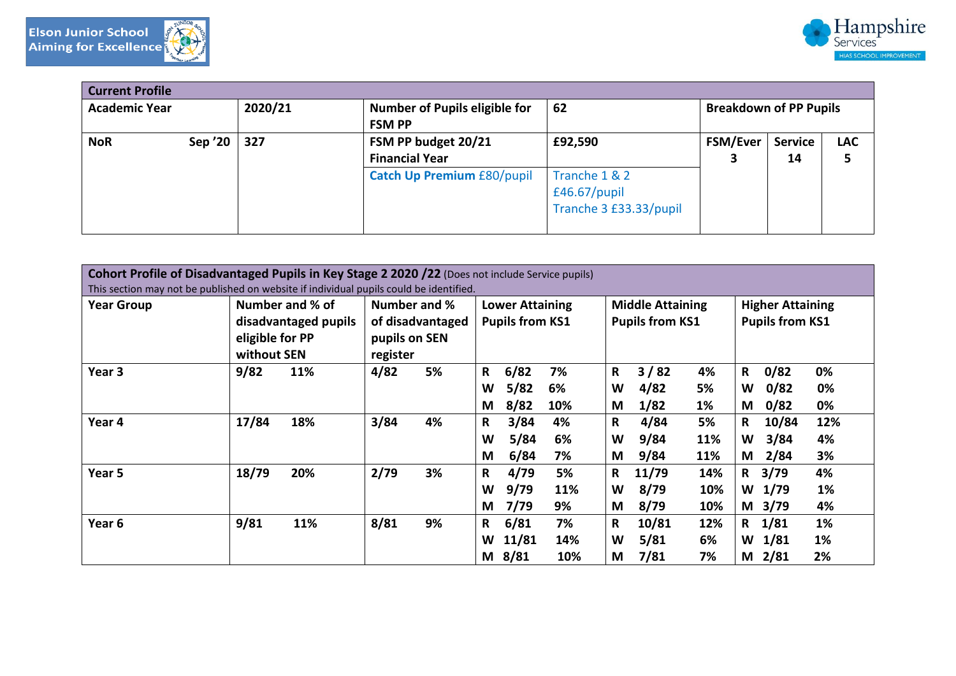





| <b>Current Profile</b> |         |         |                                                                                   |                                                                    |                               |                      |                 |
|------------------------|---------|---------|-----------------------------------------------------------------------------------|--------------------------------------------------------------------|-------------------------------|----------------------|-----------------|
| <b>Academic Year</b>   |         | 2020/21 | Number of Pupils eligible for<br><b>FSM PP</b>                                    | 62                                                                 | <b>Breakdown of PP Pupils</b> |                      |                 |
| <b>NoR</b>             | Sep '20 | 327     | FSM PP budget 20/21<br><b>Financial Year</b><br><b>Catch Up Premium £80/pupil</b> | £92,590<br>Tranche 1 & 2<br>£46.67/pupil<br>Tranche 3 £33.33/pupil | <b>FSM/Ever</b><br>3          | <b>Service</b><br>14 | <b>LAC</b><br>5 |

| Cohort Profile of Disadvantaged Pupils in Key Stage 2 2020 /22 (Does not include Service pupils)<br>This section may not be published on website if individual pupils could be identified. |                                                                           |                                                               |                                                        |                                                                 |                                                                 |  |
|--------------------------------------------------------------------------------------------------------------------------------------------------------------------------------------------|---------------------------------------------------------------------------|---------------------------------------------------------------|--------------------------------------------------------|-----------------------------------------------------------------|-----------------------------------------------------------------|--|
| <b>Year Group</b>                                                                                                                                                                          | Number and % of<br>disadvantaged pupils<br>eligible for PP<br>without SEN | Number and %<br>of disadvantaged<br>pupils on SEN<br>register | <b>Lower Attaining</b><br><b>Pupils from KS1</b>       | <b>Middle Attaining</b><br><b>Pupils from KS1</b>               | <b>Higher Attaining</b><br><b>Pupils from KS1</b>               |  |
| Year 3                                                                                                                                                                                     | 9/82<br>11%                                                               | 4/82<br>5%                                                    | 6/82<br>7%<br>R<br>5/82<br>6%<br>W<br>8/82<br>10%<br>M | 3/82<br>$\mathbf R$<br>4%<br>4/82<br>5%<br>W<br>1/82<br>1%<br>M | 0/82<br>$\mathbf R$<br>0%<br>0/82<br>0%<br>W<br>0/82<br>0%<br>M |  |
| Year 4                                                                                                                                                                                     | 17/84<br>18%                                                              | 3/84<br>4%                                                    | 3/84<br>R<br>4%<br>5/84<br>W<br>6%<br>6/84<br>M<br>7%  | 4/84<br>5%<br>R<br>9/84<br>11%<br>W<br>9/84<br>11%<br>M         | 10/84<br>12%<br>R<br>3/84<br>4%<br>W<br>2/84<br>3%<br>M         |  |
| Year 5                                                                                                                                                                                     | 18/79<br>20%                                                              | 2/79<br>3%                                                    | 4/79<br>5%<br>R<br>9/79<br>W<br>11%<br>7/79<br>9%<br>M | 11/79<br>14%<br>R<br>8/79<br>10%<br>W<br>8/79<br>M<br>10%       | 3/79<br>4%<br>R<br>1/79<br>1%<br>W<br>3/79<br>4%<br>M           |  |
| Year <sub>6</sub>                                                                                                                                                                          | 9/81<br>11%                                                               | 8/81<br>9%                                                    | 6/81<br>7%<br>R<br>11/81<br>W<br>14%<br>M 8/81<br>10%  | 10/81<br>12%<br>R<br>5/81<br>W<br>6%<br>7/81<br>M<br>7%         | 1/81<br>1%<br>R<br>1/81<br>1%<br>W<br>2%<br>M $2/81$            |  |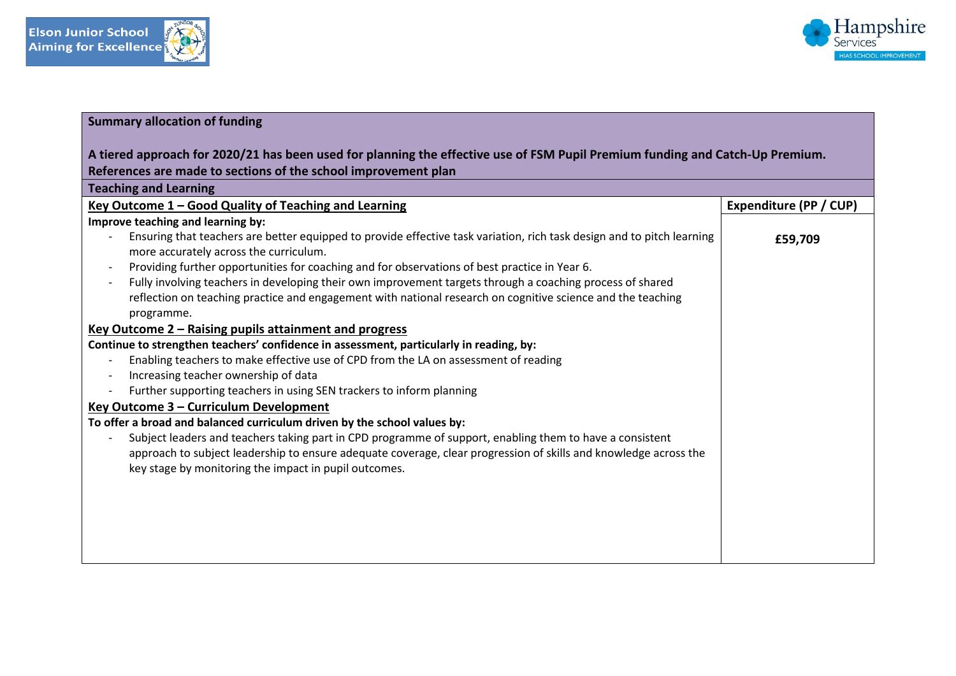



# **Summary allocation of funding**

| A tiered approach for 2020/21 has been used for planning the effective use of FSM Pupil Premium funding and Catch-Up Premium.                                                                                                          |                        |  |  |  |
|----------------------------------------------------------------------------------------------------------------------------------------------------------------------------------------------------------------------------------------|------------------------|--|--|--|
| References are made to sections of the school improvement plan                                                                                                                                                                         |                        |  |  |  |
| <b>Teaching and Learning</b>                                                                                                                                                                                                           |                        |  |  |  |
| Key Outcome 1 - Good Quality of Teaching and Learning                                                                                                                                                                                  | Expenditure (PP / CUP) |  |  |  |
| Improve teaching and learning by:                                                                                                                                                                                                      |                        |  |  |  |
| Ensuring that teachers are better equipped to provide effective task variation, rich task design and to pitch learning<br>more accurately across the curriculum.                                                                       | £59,709                |  |  |  |
| Providing further opportunities for coaching and for observations of best practice in Year 6.                                                                                                                                          |                        |  |  |  |
| Fully involving teachers in developing their own improvement targets through a coaching process of shared<br>reflection on teaching practice and engagement with national research on cognitive science and the teaching<br>programme. |                        |  |  |  |
| Key Outcome 2 – Raising pupils attainment and progress                                                                                                                                                                                 |                        |  |  |  |
| Continue to strengthen teachers' confidence in assessment, particularly in reading, by:                                                                                                                                                |                        |  |  |  |
| Enabling teachers to make effective use of CPD from the LA on assessment of reading                                                                                                                                                    |                        |  |  |  |
| Increasing teacher ownership of data                                                                                                                                                                                                   |                        |  |  |  |
| Further supporting teachers in using SEN trackers to inform planning                                                                                                                                                                   |                        |  |  |  |
| Key Outcome 3 - Curriculum Development                                                                                                                                                                                                 |                        |  |  |  |
| To offer a broad and balanced curriculum driven by the school values by:                                                                                                                                                               |                        |  |  |  |
| Subject leaders and teachers taking part in CPD programme of support, enabling them to have a consistent                                                                                                                               |                        |  |  |  |
| approach to subject leadership to ensure adequate coverage, clear progression of skills and knowledge across the                                                                                                                       |                        |  |  |  |
| key stage by monitoring the impact in pupil outcomes.                                                                                                                                                                                  |                        |  |  |  |
|                                                                                                                                                                                                                                        |                        |  |  |  |
|                                                                                                                                                                                                                                        |                        |  |  |  |
|                                                                                                                                                                                                                                        |                        |  |  |  |
|                                                                                                                                                                                                                                        |                        |  |  |  |
|                                                                                                                                                                                                                                        |                        |  |  |  |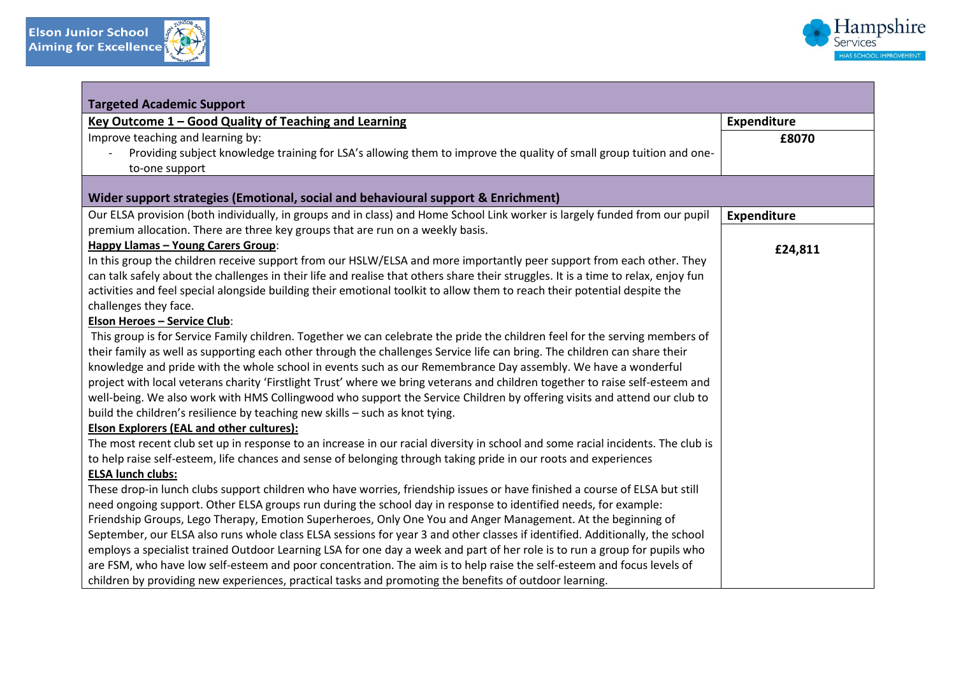

| <b>Targeted Academic Support</b>                                                                                                   |             |
|------------------------------------------------------------------------------------------------------------------------------------|-------------|
| Key Outcome 1 - Good Quality of Teaching and Learning                                                                              | Expenditure |
| Improve teaching and learning by:                                                                                                  | £8070       |
| Providing subject knowledge training for LSA's allowing them to improve the quality of small group tuition and one-                |             |
| to-one support                                                                                                                     |             |
|                                                                                                                                    |             |
| Wider support strategies (Emotional, social and behavioural support & Enrichment)                                                  |             |
| Our ELSA provision (both individually, in groups and in class) and Home School Link worker is largely funded from our pupil        | Expenditure |
| premium allocation. There are three key groups that are run on a weekly basis.                                                     |             |
| <b>Happy Llamas - Young Carers Group:</b>                                                                                          | £24,811     |
| In this group the children receive support from our HSLW/ELSA and more importantly peer support from each other. They              |             |
| can talk safely about the challenges in their life and realise that others share their struggles. It is a time to relax, enjoy fun |             |
| activities and feel special alongside building their emotional toolkit to allow them to reach their potential despite the          |             |
| challenges they face.                                                                                                              |             |
| <b>Elson Heroes - Service Club:</b>                                                                                                |             |
| This group is for Service Family children. Together we can celebrate the pride the children feel for the serving members of        |             |
| their family as well as supporting each other through the challenges Service life can bring. The children can share their          |             |
| knowledge and pride with the whole school in events such as our Remembrance Day assembly. We have a wonderful                      |             |
| project with local veterans charity 'Firstlight Trust' where we bring veterans and children together to raise self-esteem and      |             |
| well-being. We also work with HMS Collingwood who support the Service Children by offering visits and attend our club to           |             |
| build the children's resilience by teaching new skills - such as knot tying.                                                       |             |
| <b>Elson Explorers (EAL and other cultures):</b>                                                                                   |             |
| The most recent club set up in response to an increase in our racial diversity in school and some racial incidents. The club is    |             |
| to help raise self-esteem, life chances and sense of belonging through taking pride in our roots and experiences                   |             |
| <b>ELSA lunch clubs:</b>                                                                                                           |             |
| These drop-in lunch clubs support children who have worries, friendship issues or have finished a course of ELSA but still         |             |
| need ongoing support. Other ELSA groups run during the school day in response to identified needs, for example:                    |             |
| Friendship Groups, Lego Therapy, Emotion Superheroes, Only One You and Anger Management. At the beginning of                       |             |
| September, our ELSA also runs whole class ELSA sessions for year 3 and other classes if identified. Additionally, the school       |             |
| employs a specialist trained Outdoor Learning LSA for one day a week and part of her role is to run a group for pupils who         |             |
| are FSM, who have low self-esteem and poor concentration. The aim is to help raise the self-esteem and focus levels of             |             |
| children by providing new experiences, practical tasks and promoting the benefits of outdoor learning.                             |             |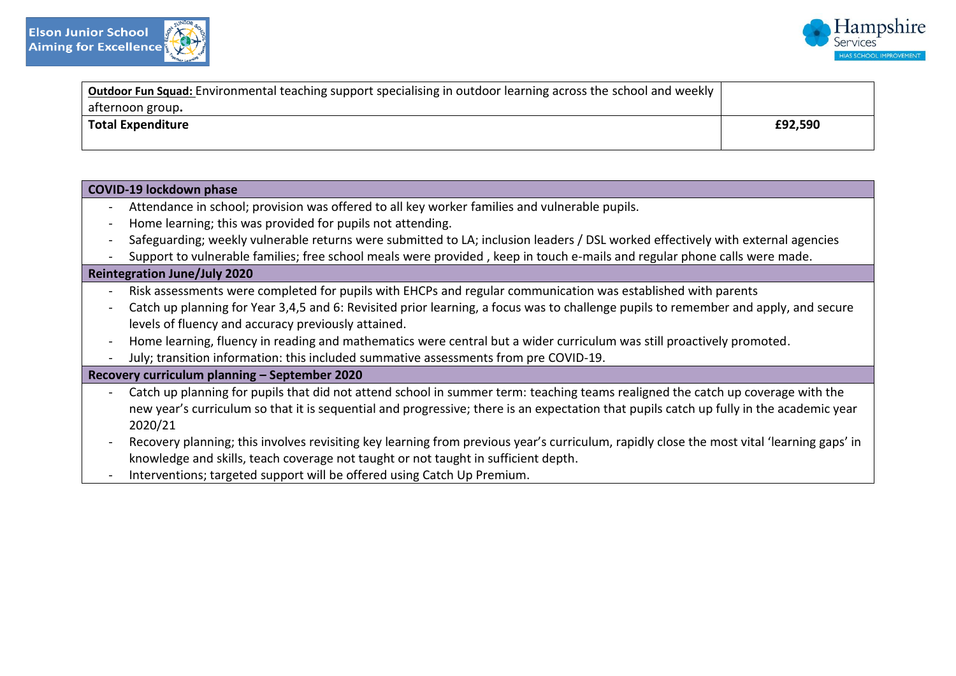



| <b>Outdoor Fun Squad:</b> Environmental teaching support specialising in outdoor learning across the school and weekly |         |
|------------------------------------------------------------------------------------------------------------------------|---------|
| afternoon group.                                                                                                       |         |
| <b>Total Expenditure</b>                                                                                               | £92,590 |
|                                                                                                                        |         |

| <b>COVID-19 lockdown phase</b>                                                                                                                                                                                                                                                                             |
|------------------------------------------------------------------------------------------------------------------------------------------------------------------------------------------------------------------------------------------------------------------------------------------------------------|
| Attendance in school; provision was offered to all key worker families and vulnerable pupils.                                                                                                                                                                                                              |
| Home learning; this was provided for pupils not attending.                                                                                                                                                                                                                                                 |
| Safeguarding; weekly vulnerable returns were submitted to LA; inclusion leaders / DSL worked effectively with external agencies                                                                                                                                                                            |
| Support to vulnerable families; free school meals were provided, keep in touch e-mails and regular phone calls were made.                                                                                                                                                                                  |
| <b>Reintegration June/July 2020</b>                                                                                                                                                                                                                                                                        |
| Risk assessments were completed for pupils with EHCPs and regular communication was established with parents                                                                                                                                                                                               |
| Catch up planning for Year 3,4,5 and 6: Revisited prior learning, a focus was to challenge pupils to remember and apply, and secure                                                                                                                                                                        |
| levels of fluency and accuracy previously attained.                                                                                                                                                                                                                                                        |
| Home learning, fluency in reading and mathematics were central but a wider curriculum was still proactively promoted.                                                                                                                                                                                      |
| July; transition information: this included summative assessments from pre COVID-19.                                                                                                                                                                                                                       |
| Recovery curriculum planning - September 2020                                                                                                                                                                                                                                                              |
| Catch up planning for pupils that did not attend school in summer term: teaching teams realigned the catch up coverage with the<br>new year's curriculum so that it is sequential and progressive; there is an expectation that pupils catch up fully in the academic year<br>2020/21                      |
| Recovery planning; this involves revisiting key learning from previous year's curriculum, rapidly close the most vital 'learning gaps' in<br>knowledge and skills, teach coverage not taught or not taught in sufficient depth.<br>Interventions; targeted support will be offered using Catch Up Premium. |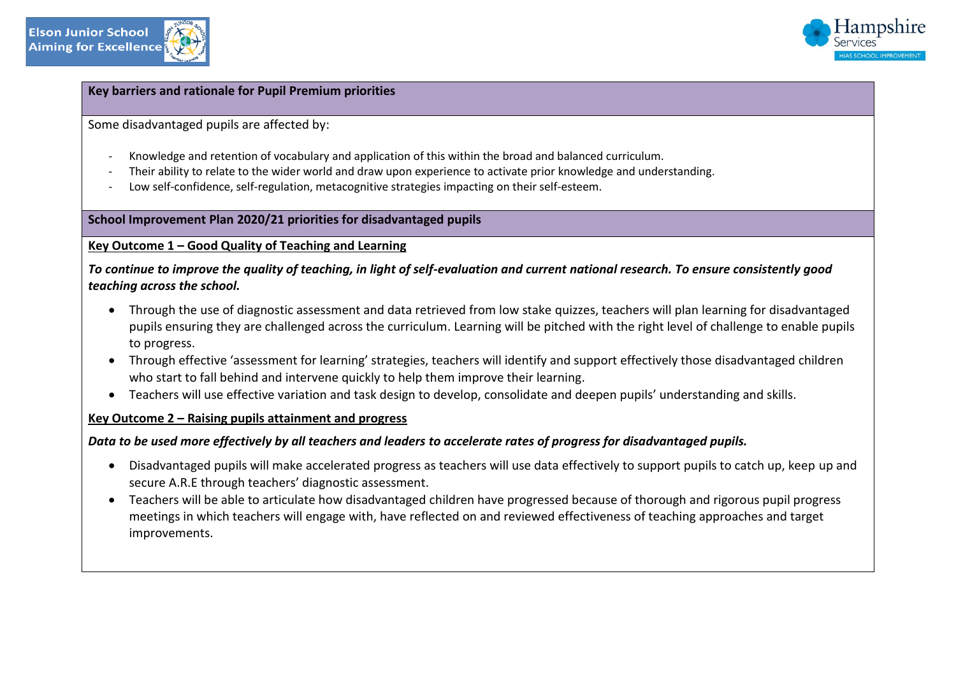



## **Key barriers and rationale for Pupil Premium priorities**

Some disadvantaged pupils are affected by:

- Knowledge and retention of vocabulary and application of this within the broad and balanced curriculum.
- Their ability to relate to the wider world and draw upon experience to activate prior knowledge and understanding.
- Low self-confidence, self-regulation, metacognitive strategies impacting on their self-esteem.

# **School Improvement Plan 2020/21 priorities for disadvantaged pupils**

## **Key Outcome 1 – Good Quality of Teaching and Learning**

*To continue to improve the quality of teaching, in light of self-evaluation and current national research. To ensure consistently good teaching across the school.* 

- Through the use of diagnostic assessment and data retrieved from low stake quizzes, teachers will plan learning for disadvantaged pupils ensuring they are challenged across the curriculum. Learning will be pitched with the right level of challenge to enable pupils to progress.
- Through effective 'assessment for learning' strategies, teachers will identify and support effectively those disadvantaged children who start to fall behind and intervene quickly to help them improve their learning.
- Teachers will use effective variation and task design to develop, consolidate and deepen pupils' understanding and skills.

# **Key Outcome 2 – Raising pupils attainment and progress**

# *Data to be used more effectively by all teachers and leaders to accelerate rates of progress for disadvantaged pupils.*

- Disadvantaged pupils will make accelerated progress as teachers will use data effectively to support pupils to catch up, keep up and secure A.R.E through teachers' diagnostic assessment.
- Teachers will be able to articulate how disadvantaged children have progressed because of thorough and rigorous pupil progress meetings in which teachers will engage with, have reflected on and reviewed effectiveness of teaching approaches and target improvements.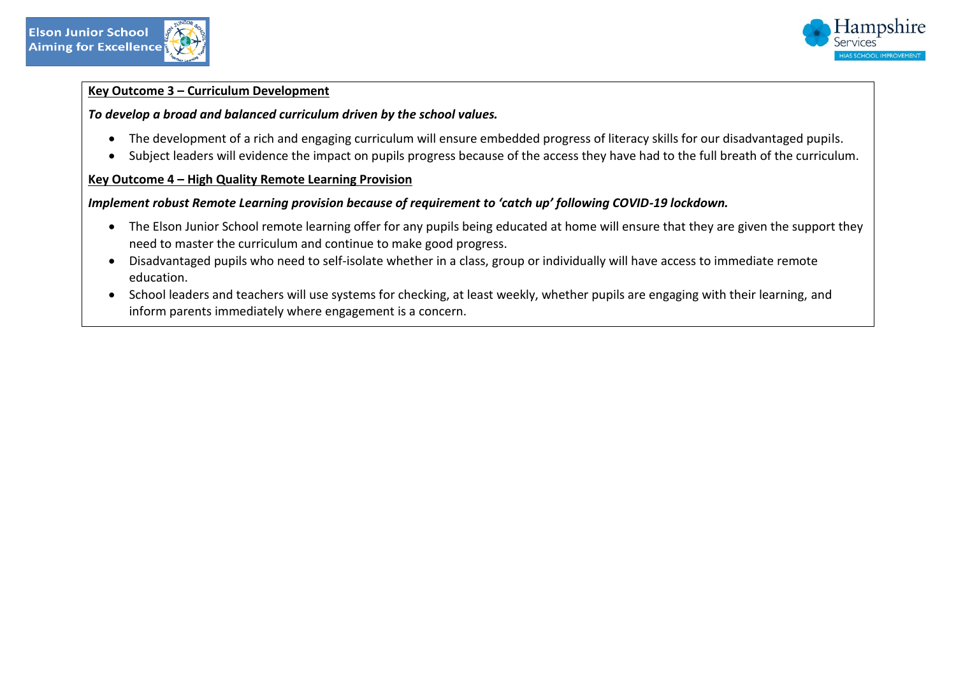



## **Key Outcome 3 – Curriculum Development**

# *To develop a broad and balanced curriculum driven by the school values.*

- The development of a rich and engaging curriculum will ensure embedded progress of literacy skills for our disadvantaged pupils.
- Subject leaders will evidence the impact on pupils progress because of the access they have had to the full breath of the curriculum.

# **Key Outcome 4 – High Quality Remote Learning Provision**

# *Implement robust Remote Learning provision because of requirement to 'catch up' following COVID-19 lockdown.*

- The Elson Junior School remote learning offer for any pupils being educated at home will ensure that they are given the support they need to master the curriculum and continue to make good progress.
- Disadvantaged pupils who need to self-isolate whether in a class, group or individually will have access to immediate remote education.
- School leaders and teachers will use systems for checking, at least weekly, whether pupils are engaging with their learning, and inform parents immediately where engagement is a concern.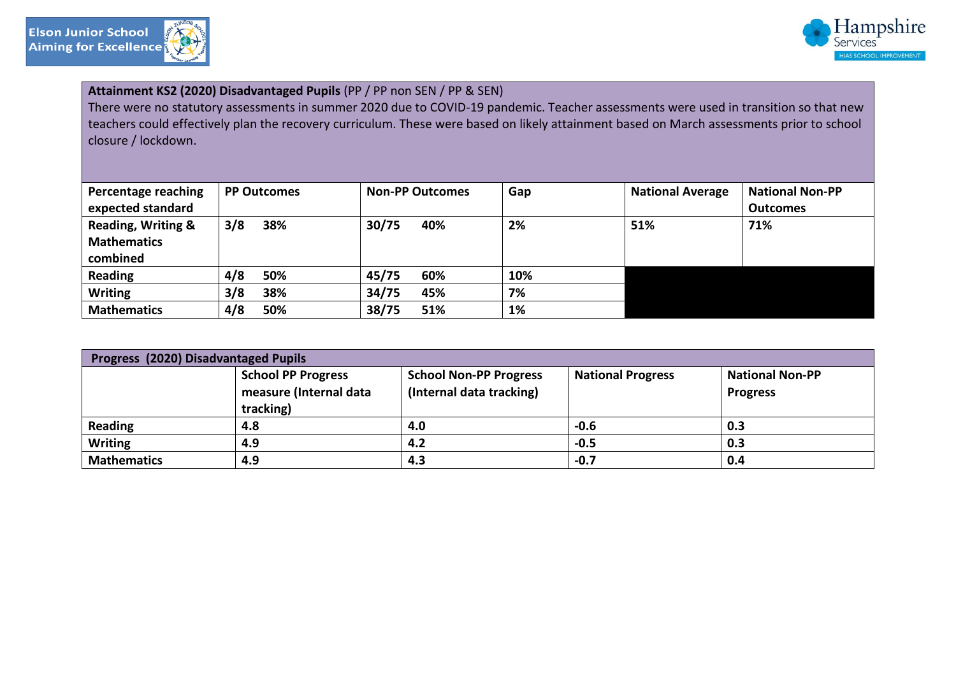

 $\overline{\phantom{a}}$ 



| Attainment KS2 (2020) Disadvantaged Pupils (PP / PP non SEN / PP & SEN)<br>There were no statutory assessments in summer 2020 due to COVID-19 pandemic. Teacher assessments were used in transition so that new<br>teachers could effectively plan the recovery curriculum. These were based on likely attainment based on March assessments prior to school<br>closure / lockdown. |                    |                        |     |                         |                        |  |
|-------------------------------------------------------------------------------------------------------------------------------------------------------------------------------------------------------------------------------------------------------------------------------------------------------------------------------------------------------------------------------------|--------------------|------------------------|-----|-------------------------|------------------------|--|
| Percentage reaching                                                                                                                                                                                                                                                                                                                                                                 | <b>PP Outcomes</b> | <b>Non-PP Outcomes</b> | Gap | <b>National Average</b> | <b>National Non-PP</b> |  |
| expected standard                                                                                                                                                                                                                                                                                                                                                                   |                    |                        |     |                         | <b>Outcomes</b>        |  |
| Reading, Writing &                                                                                                                                                                                                                                                                                                                                                                  | 3/8<br>38%         | 30/75<br>40%           | 2%  | 51%                     | 71%                    |  |
| <b>Mathematics</b>                                                                                                                                                                                                                                                                                                                                                                  |                    |                        |     |                         |                        |  |
| combined                                                                                                                                                                                                                                                                                                                                                                            |                    |                        |     |                         |                        |  |
| <b>Reading</b>                                                                                                                                                                                                                                                                                                                                                                      | 4/8<br>50%         | 45/75<br>60%           | 10% |                         |                        |  |
| <b>Writing</b>                                                                                                                                                                                                                                                                                                                                                                      | 3/8<br>38%         | 34/75<br>45%           | 7%  |                         |                        |  |
| <b>Mathematics</b>                                                                                                                                                                                                                                                                                                                                                                  | 4/8<br>50%         | 38/75<br>51%           | 1%  |                         |                        |  |

| Progress (2020) Disadvantaged Pupils |                                                                  |                                                           |                          |                                           |  |  |
|--------------------------------------|------------------------------------------------------------------|-----------------------------------------------------------|--------------------------|-------------------------------------------|--|--|
|                                      | <b>School PP Progress</b><br>measure (Internal data<br>tracking) | <b>School Non-PP Progress</b><br>(Internal data tracking) | <b>National Progress</b> | <b>National Non-PP</b><br><b>Progress</b> |  |  |
| <b>Reading</b>                       | 4.8                                                              | 4.0                                                       | $-0.6$                   | 0.3                                       |  |  |
| <b>Writing</b>                       | 4.9                                                              | 4.2                                                       | $-0.5$                   | 0.3                                       |  |  |
| <b>Mathematics</b>                   | 4.9                                                              | 4.3                                                       | $-0.7$                   | 0.4                                       |  |  |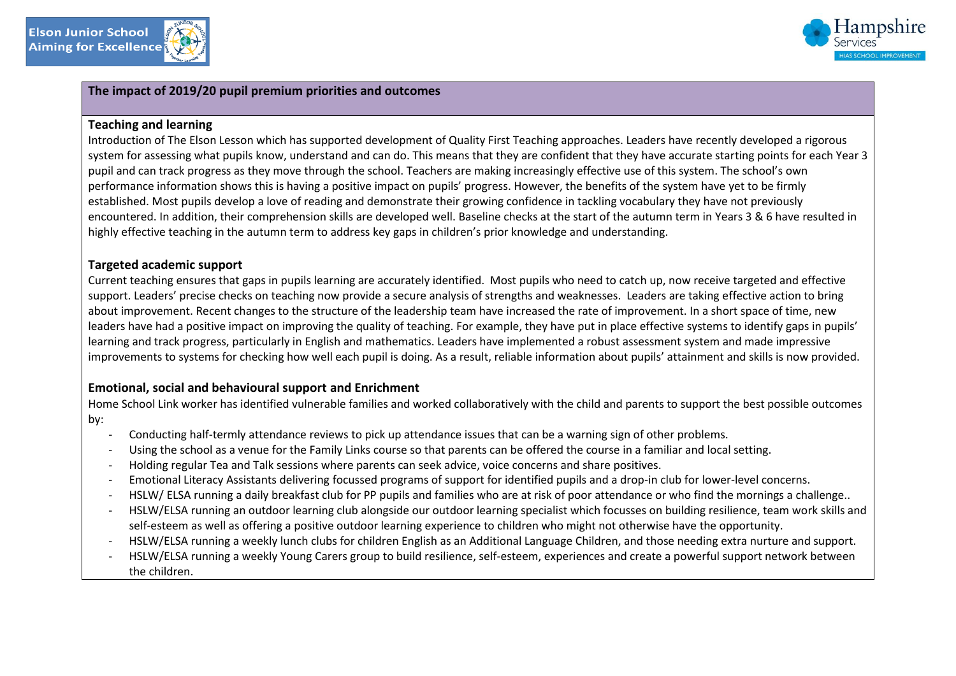



# **The impact of 2019/20 pupil premium priorities and outcomes**

#### **Teaching and learning**

Introduction of The Elson Lesson which has supported development of Quality First Teaching approaches. Leaders have recently developed a rigorous system for assessing what pupils know, understand and can do. This means that they are confident that they have accurate starting points for each Year 3 pupil and can track progress as they move through the school. Teachers are making increasingly effective use of this system. The school's own performance information shows this is having a positive impact on pupils' progress. However, the benefits of the system have yet to be firmly established. Most pupils develop a love of reading and demonstrate their growing confidence in tackling vocabulary they have not previously encountered. In addition, their comprehension skills are developed well. Baseline checks at the start of the autumn term in Years 3 & 6 have resulted in highly effective teaching in the autumn term to address key gaps in children's prior knowledge and understanding.

#### **Targeted academic support**

Current teaching ensures that gaps in pupils learning are accurately identified. Most pupils who need to catch up, now receive targeted and effective support. Leaders' precise checks on teaching now provide a secure analysis of strengths and weaknesses. Leaders are taking effective action to bring about improvement. Recent changes to the structure of the leadership team have increased the rate of improvement. In a short space of time, new leaders have had a positive impact on improving the quality of teaching. For example, they have put in place effective systems to identify gaps in pupils' learning and track progress, particularly in English and mathematics. Leaders have implemented a robust assessment system and made impressive improvements to systems for checking how well each pupil is doing. As a result, reliable information about pupils' attainment and skills is now provided.

#### **Emotional, social and behavioural support and Enrichment**

Home School Link worker has identified vulnerable families and worked collaboratively with the child and parents to support the best possible outcomes by:

- Conducting half-termly attendance reviews to pick up attendance issues that can be a warning sign of other problems.
- Using the school as a venue for the Family Links course so that parents can be offered the course in a familiar and local setting.
- Holding regular Tea and Talk sessions where parents can seek advice, voice concerns and share positives.
- Emotional Literacy Assistants delivering focussed programs of support for identified pupils and a drop-in club for lower-level concerns.
- HSLW/ ELSA running a daily breakfast club for PP pupils and families who are at risk of poor attendance or who find the mornings a challenge..
- HSLW/ELSA running an outdoor learning club alongside our outdoor learning specialist which focusses on building resilience, team work skills and self-esteem as well as offering a positive outdoor learning experience to children who might not otherwise have the opportunity.
- HSLW/ELSA running a weekly lunch clubs for children English as an Additional Language Children, and those needing extra nurture and support.
- HSLW/ELSA running a weekly Young Carers group to build resilience, self-esteem, experiences and create a powerful support network between the children.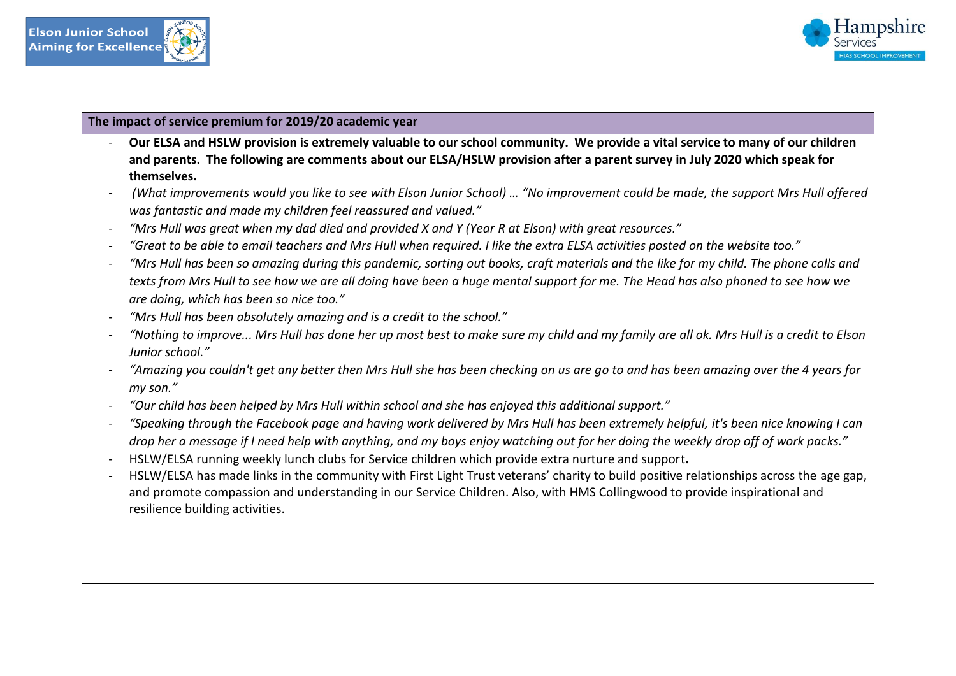



## **The impact of service premium for 2019/20 academic year**

- **Our ELSA and HSLW provision is extremely valuable to our school community. We provide a vital service to many of our children and parents. The following are comments about our ELSA/HSLW provision after a parent survey in July 2020 which speak for themselves.**
- *(What improvements would you like to see with Elson Junior School) … "No improvement could be made, the support Mrs Hull offered was fantastic and made my children feel reassured and valued."*
- *"Mrs Hull was great when my dad died and provided X and Y (Year R at Elson) with great resources."*
- *"Great to be able to email teachers and Mrs Hull when required. I like the extra ELSA activities posted on the website too."*
- *"Mrs Hull has been so amazing during this pandemic, sorting out books, craft materials and the like for my child. The phone calls and texts from Mrs Hull to see how we are all doing have been a huge mental support for me. The Head has also phoned to see how we are doing, which has been so nice too."*
- *"Mrs Hull has been absolutely amazing and is a credit to the school."*
- *"Nothing to improve... Mrs Hull has done her up most best to make sure my child and my family are all ok. Mrs Hull is a credit to Elson Junior school."*
- *"Amazing you couldn't get any better then Mrs Hull she has been checking on us are go to and has been amazing over the 4 years for my son."*
- *"Our child has been helped by Mrs Hull within school and she has enjoyed this additional support."*
- *"Speaking through the Facebook page and having work delivered by Mrs Hull has been extremely helpful, it's been nice knowing I can drop her a message if I need help with anything, and my boys enjoy watching out for her doing the weekly drop off of work packs."*
- HSLW/ELSA running weekly lunch clubs for Service children which provide extra nurture and support**.**
- HSLW/ELSA has made links in the community with First Light Trust veterans' charity to build positive relationships across the age gap, and promote compassion and understanding in our Service Children. Also, with HMS Collingwood to provide inspirational and resilience building activities.